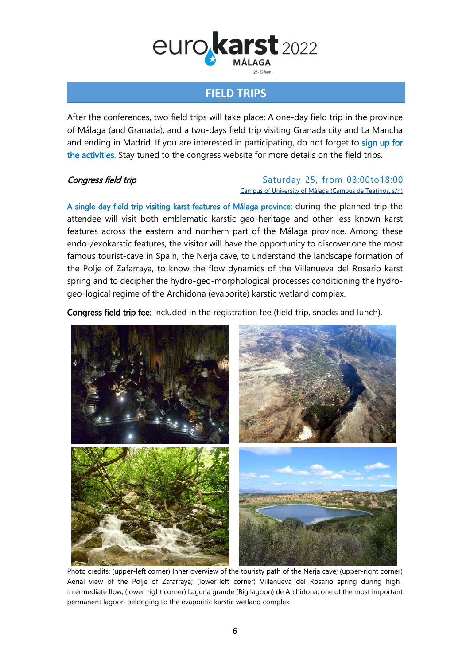# eurokarst 2022  $22 - 25$  km

### **FIELD TRIPS**

After the conferences, two field trips will take place: A one-day field trip in the province of Málaga (and Granada), and a two-days field trip visiting Granada city and La Mancha and ending in Madrid. If you are interested in participating, do not forget to sign up for the activities. Stay tuned to the congress website for more details on the field trips.

#### **Congress field trip** Saturday 25, from 08:00to18:00 [Campus of University of Málaga \(Campus de Teatinos,](https://goo.gl/maps/16nDkCAqe64yDRabA) s/n)

A single day field trip visiting karst features of Málaga province: during the planned trip the attendee will visit both emblematic karstic geo-heritage and other less known karst features across the eastern and northern part of the Málaga province. Among these endo-/exokarstic features, the visitor will have the opportunity to discover one the most famous tourist-cave in Spain, the Nerja cave, to understand the landscape formation of the Polje of Zafarraya, to know the flow dynamics of the Villanueva del Rosario karst spring and to decipher the hydro-geo-morphological processes conditioning the hydrogeo-logical regime of the Archidona (evaporite) karstic wetland complex.

Congress field trip fee: included in the registration fee (field trip, snacks and lunch).



Photo credits: (upper-left corner) Inner overview of the touristy path of the Nerja cave; (upper-right corner) Aerial view of the Polje of Zafarraya; (lower-left corner) Villanueva del Rosario spring during highintermediate flow; (lower-right corner) Laguna grande (Big lagoon) de Archidona, one of the most important permanent lagoon belonging to the evaporitic karstic wetland complex.